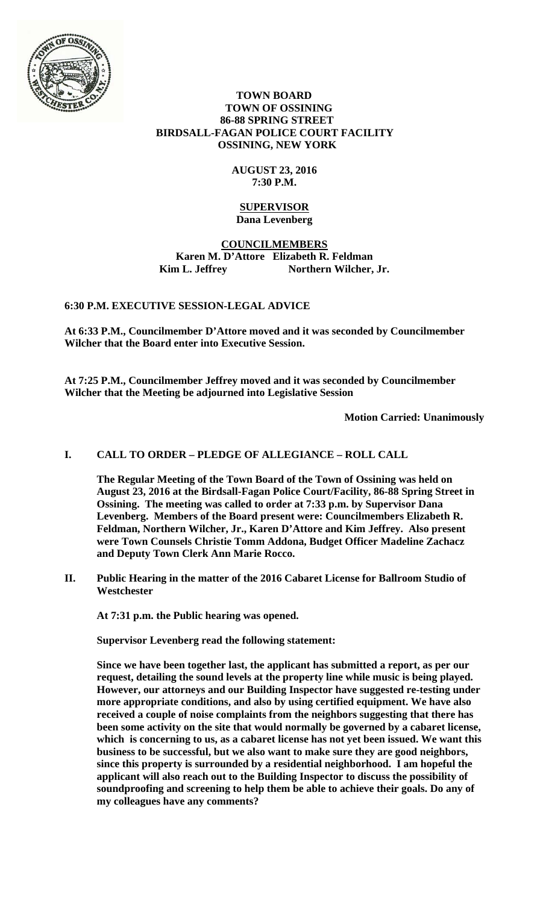

### **TOWN BOARD TOWN OF OSSINING 86-88 SPRING STREET BIRDSALL-FAGAN POLICE COURT FACILITY OSSINING, NEW YORK**

# **AUGUST 23, 2016 7:30 P.M.**

### **SUPERVISOR Dana Levenberg**

# **COUNCILMEMBERS Karen M. D'Attore Elizabeth R. Feldman**  Kim L. Jeffrey Northern Wilcher, Jr.

# **6:30 P.M. EXECUTIVE SESSION-LEGAL ADVICE**

**At 6:33 P.M., Councilmember D'Attore moved and it was seconded by Councilmember Wilcher that the Board enter into Executive Session.** 

**At 7:25 P.M., Councilmember Jeffrey moved and it was seconded by Councilmember Wilcher that the Meeting be adjourned into Legislative Session** 

**Motion Carried: Unanimously** 

# **I. CALL TO ORDER – PLEDGE OF ALLEGIANCE – ROLL CALL**

**The Regular Meeting of the Town Board of the Town of Ossining was held on August 23, 2016 at the Birdsall-Fagan Police Court/Facility, 86-88 Spring Street in Ossining. The meeting was called to order at 7:33 p.m. by Supervisor Dana Levenberg. Members of the Board present were: Councilmembers Elizabeth R. Feldman, Northern Wilcher, Jr., Karen D'Attore and Kim Jeffrey. Also present were Town Counsels Christie Tomm Addona, Budget Officer Madeline Zachacz and Deputy Town Clerk Ann Marie Rocco.** 

**II. Public Hearing in the matter of the 2016 Cabaret License for Ballroom Studio of Westchester** 

**At 7:31 p.m. the Public hearing was opened.** 

**Supervisor Levenberg read the following statement:** 

**Since we have been together last, the applicant has submitted a report, as per our request, detailing the sound levels at the property line while music is being played. However, our attorneys and our Building Inspector have suggested re-testing under more appropriate conditions, and also by using certified equipment. We have also received a couple of noise complaints from the neighbors suggesting that there has been some activity on the site that would normally be governed by a cabaret license, which is concerning to us, as a cabaret license has not yet been issued. We want this business to be successful, but we also want to make sure they are good neighbors, since this property is surrounded by a residential neighborhood. I am hopeful the applicant will also reach out to the Building Inspector to discuss the possibility of soundproofing and screening to help them be able to achieve their goals. Do any of my colleagues have any comments?**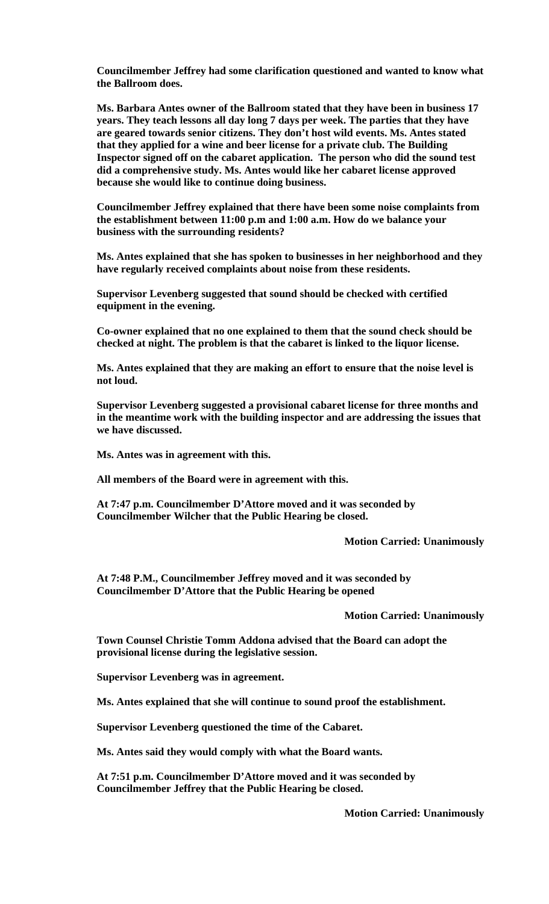**Councilmember Jeffrey had some clarification questioned and wanted to know what the Ballroom does.** 

**Ms. Barbara Antes owner of the Ballroom stated that they have been in business 17 years. They teach lessons all day long 7 days per week. The parties that they have are geared towards senior citizens. They don't host wild events. Ms. Antes stated that they applied for a wine and beer license for a private club. The Building Inspector signed off on the cabaret application. The person who did the sound test did a comprehensive study. Ms. Antes would like her cabaret license approved because she would like to continue doing business.** 

**Councilmember Jeffrey explained that there have been some noise complaints from the establishment between 11:00 p.m and 1:00 a.m. How do we balance your business with the surrounding residents?** 

**Ms. Antes explained that she has spoken to businesses in her neighborhood and they have regularly received complaints about noise from these residents.** 

**Supervisor Levenberg suggested that sound should be checked with certified equipment in the evening.** 

**Co-owner explained that no one explained to them that the sound check should be checked at night. The problem is that the cabaret is linked to the liquor license.** 

**Ms. Antes explained that they are making an effort to ensure that the noise level is not loud.** 

**Supervisor Levenberg suggested a provisional cabaret license for three months and in the meantime work with the building inspector and are addressing the issues that we have discussed.** 

**Ms. Antes was in agreement with this.** 

**All members of the Board were in agreement with this.** 

**At 7:47 p.m. Councilmember D'Attore moved and it was seconded by Councilmember Wilcher that the Public Hearing be closed.** 

 **Motion Carried: Unanimously** 

**At 7:48 P.M., Councilmember Jeffrey moved and it was seconded by Councilmember D'Attore that the Public Hearing be opened** 

 **Motion Carried: Unanimously** 

**Town Counsel Christie Tomm Addona advised that the Board can adopt the provisional license during the legislative session.** 

**Supervisor Levenberg was in agreement.** 

**Ms. Antes explained that she will continue to sound proof the establishment.** 

**Supervisor Levenberg questioned the time of the Cabaret.** 

**Ms. Antes said they would comply with what the Board wants.** 

**At 7:51 p.m. Councilmember D'Attore moved and it was seconded by Councilmember Jeffrey that the Public Hearing be closed.** 

 **Motion Carried: Unanimously**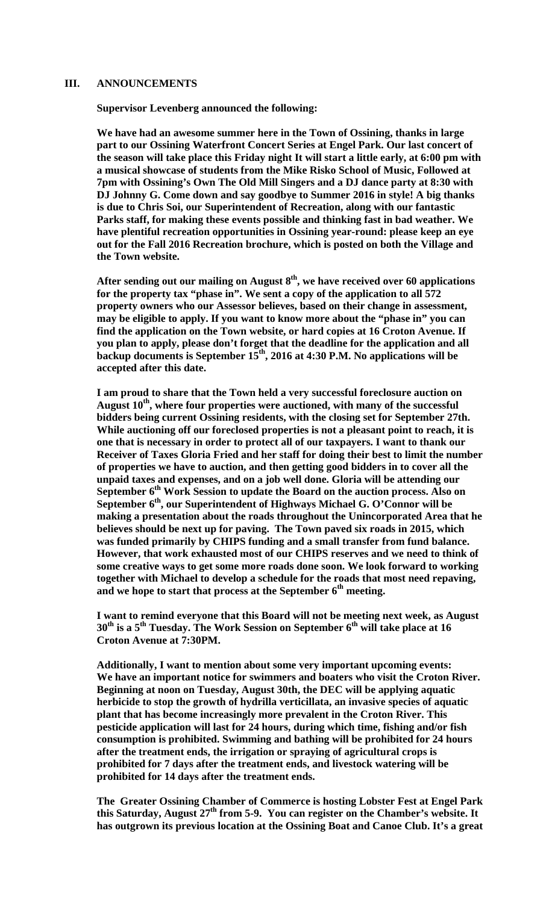### **III. ANNOUNCEMENTS**

**Supervisor Levenberg announced the following:** 

**We have had an awesome summer here in the Town of Ossining, thanks in large part to our Ossining Waterfront Concert Series at Engel Park. Our last concert of the season will take place this Friday night It will start a little early, at 6:00 pm with a musical showcase of students from the Mike Risko School of Music, Followed at 7pm with Ossining's Own The Old Mill Singers and a DJ dance party at 8:30 with DJ Johnny G. Come down and say goodbye to Summer 2016 in style! A big thanks is due to Chris Soi, our Superintendent of Recreation, along with our fantastic Parks staff, for making these events possible and thinking fast in bad weather. We have plentiful recreation opportunities in Ossining year-round: please keep an eye out for the Fall 2016 Recreation brochure, which is posted on both the Village and the Town website.** 

After sending out our mailing on August 8<sup>th</sup>, we have received over 60 applications **for the property tax "phase in". We sent a copy of the application to all 572 property owners who our Assessor believes, based on their change in assessment, may be eligible to apply. If you want to know more about the "phase in" you can find the application on the Town website, or hard copies at 16 Croton Avenue. If you plan to apply, please don't forget that the deadline for the application and all backup documents is September 15th, 2016 at 4:30 P.M. No applications will be accepted after this date.** 

**I am proud to share that the Town held a very successful foreclosure auction on August 10th, where four properties were auctioned, with many of the successful bidders being current Ossining residents, with the closing set for September 27th. While auctioning off our foreclosed properties is not a pleasant point to reach, it is one that is necessary in order to protect all of our taxpayers. I want to thank our Receiver of Taxes Gloria Fried and her staff for doing their best to limit the number of properties we have to auction, and then getting good bidders in to cover all the unpaid taxes and expenses, and on a job well done. Gloria will be attending our**  September 6<sup>th</sup> Work Session to update the Board on the auction process. Also on September 6<sup>th</sup>, our Superintendent of Highways Michael G. O'Connor will be **making a presentation about the roads throughout the Unincorporated Area that he believes should be next up for paving. The Town paved six roads in 2015, which was funded primarily by CHIPS funding and a small transfer from fund balance. However, that work exhausted most of our CHIPS reserves and we need to think of some creative ways to get some more roads done soon. We look forward to working together with Michael to develop a schedule for the roads that most need repaving,**  and we hope to start that process at the September 6<sup>th</sup> meeting.

**I want to remind everyone that this Board will not be meeting next week, as August**  30<sup>th</sup> is a 5<sup>th</sup> Tuesday. The Work Session on September 6<sup>th</sup> will take place at 16 **Croton Avenue at 7:30PM.** 

**Additionally, I want to mention about some very important upcoming events: We have an important notice for swimmers and boaters who visit the Croton River. Beginning at noon on Tuesday, August 30th, the DEC will be applying aquatic herbicide to stop the growth of hydrilla verticillata, an invasive species of aquatic plant that has become increasingly more prevalent in the Croton River. This pesticide application will last for 24 hours, during which time, fishing and/or fish consumption is prohibited. Swimming and bathing will be prohibited for 24 hours after the treatment ends, the irrigation or spraying of agricultural crops is prohibited for 7 days after the treatment ends, and livestock watering will be prohibited for 14 days after the treatment ends.** 

**The Greater Ossining Chamber of Commerce is hosting Lobster Fest at Engel Park this Saturday, August 27th from 5-9. You can register on the Chamber's website. It has outgrown its previous location at the Ossining Boat and Canoe Club. It's a great**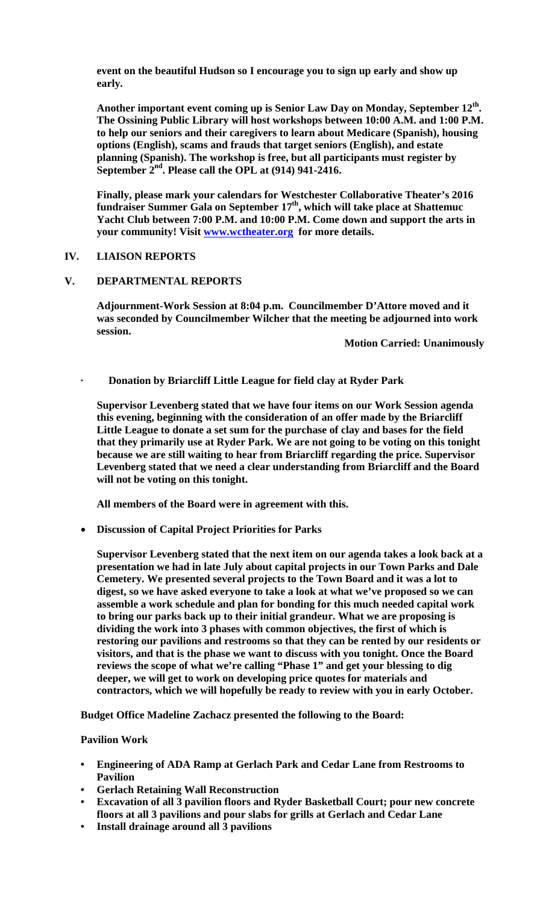**event on the beautiful Hudson so I encourage you to sign up early and show up early.** 

**Another important event coming up is Senior Law Day on Monday, September 12th. The Ossining Public Library will host workshops between 10:00 A.M. and 1:00 P.M. to help our seniors and their caregivers to learn about Medicare (Spanish), housing options (English), scams and frauds that target seniors (English), and estate planning (Spanish). The workshop is free, but all participants must register by September 2nd. Please call the OPL at (914) 941-2416.** 

**Finally, please mark your calendars for Westchester Collaborative Theater's 2016**  fundraiser Summer Gala on September 17<sup>th</sup>, which will take place at Shattemuc **Yacht Club between 7:00 P.M. and 10:00 P.M. Come down and support the arts in your community! Visit www.wctheater.org for more details.** 

### **IV. LIAISON REPORTS**

### **V. DEPARTMENTAL REPORTS**

**Adjournment-Work Session at 8:04 p.m. Councilmember D'Attore moved and it was seconded by Councilmember Wilcher that the meeting be adjourned into work session.** 

 **Motion Carried: Unanimously** 

**· Donation by Briarcliff Little League for field clay at Ryder Park** 

**Supervisor Levenberg stated that we have four items on our Work Session agenda this evening, beginning with the consideration of an offer made by the Briarcliff Little League to donate a set sum for the purchase of clay and bases for the field that they primarily use at Ryder Park. We are not going to be voting on this tonight because we are still waiting to hear from Briarcliff regarding the price. Supervisor Levenberg stated that we need a clear understanding from Briarcliff and the Board will not be voting on this tonight.** 

**All members of the Board were in agreement with this.** 

**Discussion of Capital Project Priorities for Parks** 

**Supervisor Levenberg stated that the next item on our agenda takes a look back at a presentation we had in late July about capital projects in our Town Parks and Dale Cemetery. We presented several projects to the Town Board and it was a lot to digest, so we have asked everyone to take a look at what we've proposed so we can assemble a work schedule and plan for bonding for this much needed capital work to bring our parks back up to their initial grandeur. What we are proposing is dividing the work into 3 phases with common objectives, the first of which is restoring our pavilions and restrooms so that they can be rented by our residents or visitors, and that is the phase we want to discuss with you tonight. Once the Board reviews the scope of what we're calling "Phase 1" and get your blessing to dig deeper, we will get to work on developing price quotes for materials and contractors, which we will hopefully be ready to review with you in early October.** 

**Budget Office Madeline Zachacz presented the following to the Board:** 

#### **Pavilion Work**

- **Engineering of ADA Ramp at Gerlach Park and Cedar Lane from Restrooms to Pavilion**
- **Gerlach Retaining Wall Reconstruction**
- **Excavation of all 3 pavilion floors and Ryder Basketball Court; pour new concrete floors at all 3 pavilions and pour slabs for grills at Gerlach and Cedar Lane**
- **Install drainage around all 3 pavilions**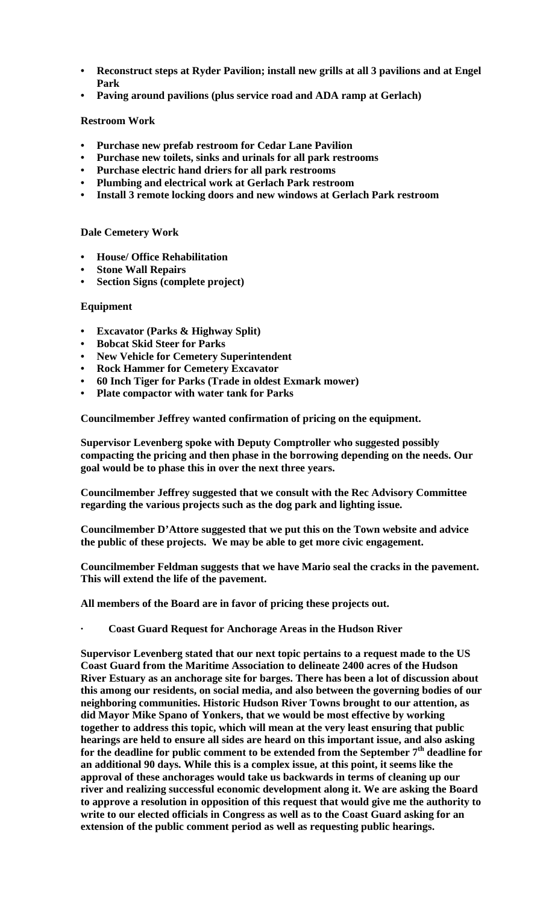- **Reconstruct steps at Ryder Pavilion; install new grills at all 3 pavilions and at Engel Park**
- **Paving around pavilions (plus service road and ADA ramp at Gerlach)**

# **Restroom Work**

- **Purchase new prefab restroom for Cedar Lane Pavilion**
- **Purchase new toilets, sinks and urinals for all park restrooms**
- **Purchase electric hand driers for all park restrooms**
- **Plumbing and electrical work at Gerlach Park restroom**
- **Install 3 remote locking doors and new windows at Gerlach Park restroom**

# **Dale Cemetery Work**

- **House/ Office Rehabilitation**
- **Stone Wall Repairs**
- **Section Signs (complete project)**

# **Equipment**

- **Excavator (Parks & Highway Split)**
- **Bobcat Skid Steer for Parks**
- **New Vehicle for Cemetery Superintendent**
- **Rock Hammer for Cemetery Excavator**
- **60 Inch Tiger for Parks (Trade in oldest Exmark mower)**
- **Plate compactor with water tank for Parks**

**Councilmember Jeffrey wanted confirmation of pricing on the equipment.** 

**Supervisor Levenberg spoke with Deputy Comptroller who suggested possibly compacting the pricing and then phase in the borrowing depending on the needs. Our goal would be to phase this in over the next three years.** 

**Councilmember Jeffrey suggested that we consult with the Rec Advisory Committee regarding the various projects such as the dog park and lighting issue.** 

**Councilmember D'Attore suggested that we put this on the Town website and advice the public of these projects. We may be able to get more civic engagement.** 

**Councilmember Feldman suggests that we have Mario seal the cracks in the pavement. This will extend the life of the pavement.** 

**All members of the Board are in favor of pricing these projects out.** 

**· Coast Guard Request for Anchorage Areas in the Hudson River** 

**Supervisor Levenberg stated that our next topic pertains to a request made to the US Coast Guard from the Maritime Association to delineate 2400 acres of the Hudson River Estuary as an anchorage site for barges. There has been a lot of discussion about this among our residents, on social media, and also between the governing bodies of our neighboring communities. Historic Hudson River Towns brought to our attention, as did Mayor Mike Spano of Yonkers, that we would be most effective by working together to address this topic, which will mean at the very least ensuring that public hearings are held to ensure all sides are heard on this important issue, and also asking**  for the deadline for public comment to be extended from the September 7<sup>th</sup> deadline for **an additional 90 days. While this is a complex issue, at this point, it seems like the approval of these anchorages would take us backwards in terms of cleaning up our river and realizing successful economic development along it. We are asking the Board to approve a resolution in opposition of this request that would give me the authority to write to our elected officials in Congress as well as to the Coast Guard asking for an extension of the public comment period as well as requesting public hearings.**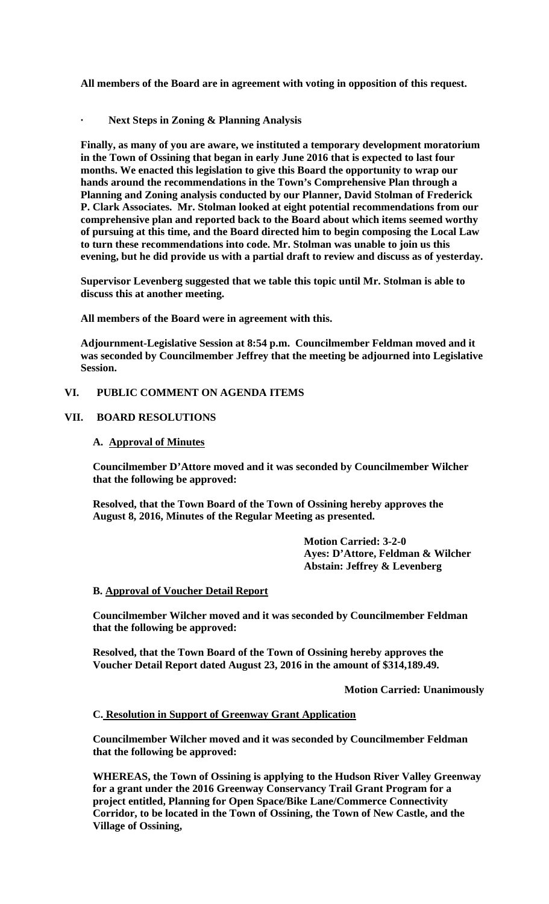**All members of the Board are in agreement with voting in opposition of this request.** 

**· Next Steps in Zoning & Planning Analysis** 

**Finally, as many of you are aware, we instituted a temporary development moratorium in the Town of Ossining that began in early June 2016 that is expected to last four months. We enacted this legislation to give this Board the opportunity to wrap our hands around the recommendations in the Town's Comprehensive Plan through a Planning and Zoning analysis conducted by our Planner, David Stolman of Frederick P. Clark Associates. Mr. Stolman looked at eight potential recommendations from our comprehensive plan and reported back to the Board about which items seemed worthy of pursuing at this time, and the Board directed him to begin composing the Local Law to turn these recommendations into code. Mr. Stolman was unable to join us this evening, but he did provide us with a partial draft to review and discuss as of yesterday.** 

**Supervisor Levenberg suggested that we table this topic until Mr. Stolman is able to discuss this at another meeting.** 

**All members of the Board were in agreement with this.** 

**Adjournment-Legislative Session at 8:54 p.m. Councilmember Feldman moved and it was seconded by Councilmember Jeffrey that the meeting be adjourned into Legislative Session.** 

### **VI. PUBLIC COMMENT ON AGENDA ITEMS**

### **VII. BOARD RESOLUTIONS**

#### **A. Approval of Minutes**

**Councilmember D'Attore moved and it was seconded by Councilmember Wilcher that the following be approved:** 

**Resolved, that the Town Board of the Town of Ossining hereby approves the August 8, 2016, Minutes of the Regular Meeting as presented.** 

> **Motion Carried: 3-2-0 Ayes: D'Attore, Feldman & Wilcher Abstain: Jeffrey & Levenberg**

#### **B. Approval of Voucher Detail Report**

**Councilmember Wilcher moved and it was seconded by Councilmember Feldman that the following be approved:** 

**Resolved, that the Town Board of the Town of Ossining hereby approves the Voucher Detail Report dated August 23, 2016 in the amount of \$314,189.49.** 

 **Motion Carried: Unanimously** 

#### **C. Resolution in Support of Greenway Grant Application**

**Councilmember Wilcher moved and it was seconded by Councilmember Feldman that the following be approved:** 

**WHEREAS, the Town of Ossining is applying to the Hudson River Valley Greenway for a grant under the 2016 Greenway Conservancy Trail Grant Program for a project entitled, Planning for Open Space/Bike Lane/Commerce Connectivity Corridor, to be located in the Town of Ossining, the Town of New Castle, and the Village of Ossining,**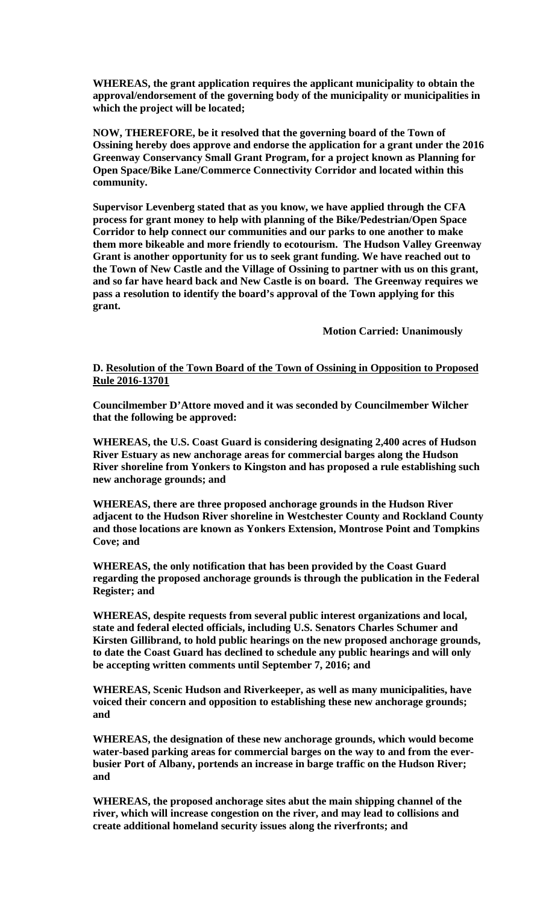**WHEREAS, the grant application requires the applicant municipality to obtain the approval/endorsement of the governing body of the municipality or municipalities in which the project will be located;** 

**NOW, THEREFORE, be it resolved that the governing board of the Town of Ossining hereby does approve and endorse the application for a grant under the 2016 Greenway Conservancy Small Grant Program, for a project known as Planning for Open Space/Bike Lane/Commerce Connectivity Corridor and located within this community.** 

**Supervisor Levenberg stated that as you know, we have applied through the CFA process for grant money to help with planning of the Bike/Pedestrian/Open Space Corridor to help connect our communities and our parks to one another to make them more bikeable and more friendly to ecotourism. The Hudson Valley Greenway Grant is another opportunity for us to seek grant funding. We have reached out to the Town of New Castle and the Village of Ossining to partner with us on this grant, and so far have heard back and New Castle is on board. The Greenway requires we pass a resolution to identify the board's approval of the Town applying for this grant.** 

 **Motion Carried: Unanimously** 

### **D. Resolution of the Town Board of the Town of Ossining in Opposition to Proposed Rule 2016-13701**

**Councilmember D'Attore moved and it was seconded by Councilmember Wilcher that the following be approved:** 

**WHEREAS, the U.S. Coast Guard is considering designating 2,400 acres of Hudson River Estuary as new anchorage areas for commercial barges along the Hudson River shoreline from Yonkers to Kingston and has proposed a rule establishing such new anchorage grounds; and** 

**WHEREAS, there are three proposed anchorage grounds in the Hudson River adjacent to the Hudson River shoreline in Westchester County and Rockland County and those locations are known as Yonkers Extension, Montrose Point and Tompkins Cove; and** 

**WHEREAS, the only notification that has been provided by the Coast Guard regarding the proposed anchorage grounds is through the publication in the Federal Register; and** 

**WHEREAS, despite requests from several public interest organizations and local, state and federal elected officials, including U.S. Senators Charles Schumer and Kirsten Gillibrand, to hold public hearings on the new proposed anchorage grounds, to date the Coast Guard has declined to schedule any public hearings and will only be accepting written comments until September 7, 2016; and** 

**WHEREAS, Scenic Hudson and Riverkeeper, as well as many municipalities, have voiced their concern and opposition to establishing these new anchorage grounds; and** 

**WHEREAS, the designation of these new anchorage grounds, which would become water-based parking areas for commercial barges on the way to and from the everbusier Port of Albany, portends an increase in barge traffic on the Hudson River; and** 

**WHEREAS, the proposed anchorage sites abut the main shipping channel of the river, which will increase congestion on the river, and may lead to collisions and create additional homeland security issues along the riverfronts; and**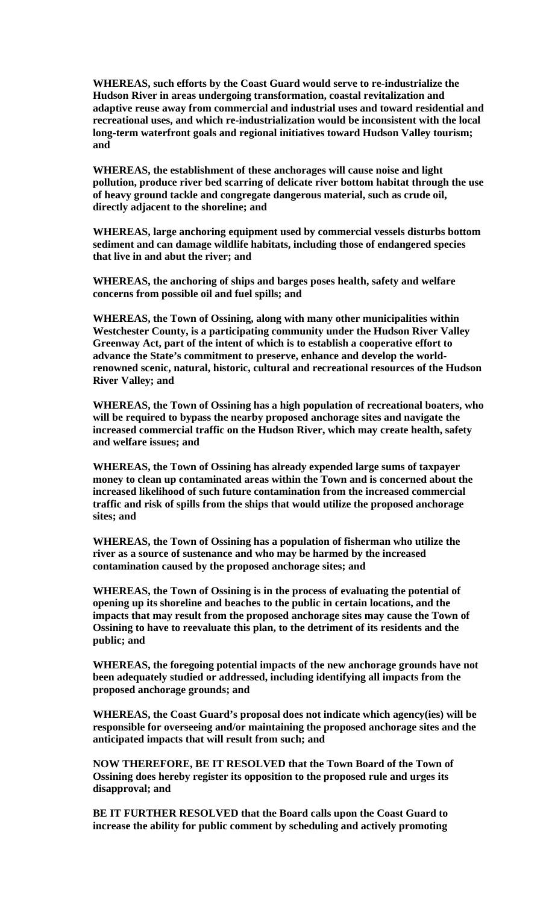**WHEREAS, such efforts by the Coast Guard would serve to re-industrialize the Hudson River in areas undergoing transformation, coastal revitalization and adaptive reuse away from commercial and industrial uses and toward residential and recreational uses, and which re-industrialization would be inconsistent with the local long-term waterfront goals and regional initiatives toward Hudson Valley tourism; and** 

**WHEREAS, the establishment of these anchorages will cause noise and light pollution, produce river bed scarring of delicate river bottom habitat through the use of heavy ground tackle and congregate dangerous material, such as crude oil, directly adjacent to the shoreline; and** 

**WHEREAS, large anchoring equipment used by commercial vessels disturbs bottom sediment and can damage wildlife habitats, including those of endangered species that live in and abut the river; and** 

**WHEREAS, the anchoring of ships and barges poses health, safety and welfare concerns from possible oil and fuel spills; and** 

**WHEREAS, the Town of Ossining, along with many other municipalities within Westchester County, is a participating community under the Hudson River Valley Greenway Act, part of the intent of which is to establish a cooperative effort to advance the State's commitment to preserve, enhance and develop the worldrenowned scenic, natural, historic, cultural and recreational resources of the Hudson River Valley; and** 

**WHEREAS, the Town of Ossining has a high population of recreational boaters, who will be required to bypass the nearby proposed anchorage sites and navigate the increased commercial traffic on the Hudson River, which may create health, safety and welfare issues; and** 

**WHEREAS, the Town of Ossining has already expended large sums of taxpayer money to clean up contaminated areas within the Town and is concerned about the increased likelihood of such future contamination from the increased commercial traffic and risk of spills from the ships that would utilize the proposed anchorage sites; and** 

**WHEREAS, the Town of Ossining has a population of fisherman who utilize the river as a source of sustenance and who may be harmed by the increased contamination caused by the proposed anchorage sites; and** 

**WHEREAS, the Town of Ossining is in the process of evaluating the potential of opening up its shoreline and beaches to the public in certain locations, and the impacts that may result from the proposed anchorage sites may cause the Town of Ossining to have to reevaluate this plan, to the detriment of its residents and the public; and** 

**WHEREAS, the foregoing potential impacts of the new anchorage grounds have not been adequately studied or addressed, including identifying all impacts from the proposed anchorage grounds; and** 

**WHEREAS, the Coast Guard's proposal does not indicate which agency(ies) will be responsible for overseeing and/or maintaining the proposed anchorage sites and the anticipated impacts that will result from such; and** 

**NOW THEREFORE, BE IT RESOLVED that the Town Board of the Town of Ossining does hereby register its opposition to the proposed rule and urges its disapproval; and** 

**BE IT FURTHER RESOLVED that the Board calls upon the Coast Guard to increase the ability for public comment by scheduling and actively promoting**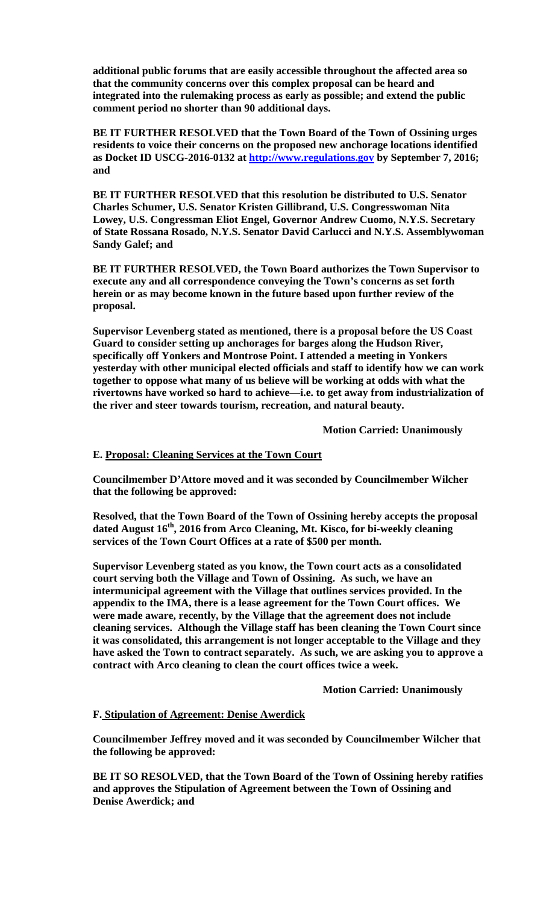**additional public forums that are easily accessible throughout the affected area so that the community concerns over this complex proposal can be heard and integrated into the rulemaking process as early as possible; and extend the public comment period no shorter than 90 additional days.** 

**BE IT FURTHER RESOLVED that the Town Board of the Town of Ossining urges residents to voice their concerns on the proposed new anchorage locations identified as Docket ID USCG-2016-0132 at http://www.regulations.gov by September 7, 2016; and** 

**BE IT FURTHER RESOLVED that this resolution be distributed to U.S. Senator Charles Schumer, U.S. Senator Kristen Gillibrand, U.S. Congresswoman Nita Lowey, U.S. Congressman Eliot Engel, Governor Andrew Cuomo, N.Y.S. Secretary of State Rossana Rosado, N.Y.S. Senator David Carlucci and N.Y.S. Assemblywoman Sandy Galef; and** 

**BE IT FURTHER RESOLVED, the Town Board authorizes the Town Supervisor to execute any and all correspondence conveying the Town's concerns as set forth herein or as may become known in the future based upon further review of the proposal.** 

**Supervisor Levenberg stated as mentioned, there is a proposal before the US Coast Guard to consider setting up anchorages for barges along the Hudson River, specifically off Yonkers and Montrose Point. I attended a meeting in Yonkers yesterday with other municipal elected officials and staff to identify how we can work together to oppose what many of us believe will be working at odds with what the rivertowns have worked so hard to achieve—i.e. to get away from industrialization of the river and steer towards tourism, recreation, and natural beauty.** 

 **Motion Carried: Unanimously** 

### **E. Proposal: Cleaning Services at the Town Court**

**Councilmember D'Attore moved and it was seconded by Councilmember Wilcher that the following be approved:** 

**Resolved, that the Town Board of the Town of Ossining hereby accepts the proposal dated August 16th, 2016 from Arco Cleaning, Mt. Kisco, for bi-weekly cleaning services of the Town Court Offices at a rate of \$500 per month.** 

**Supervisor Levenberg stated as you know, the Town court acts as a consolidated court serving both the Village and Town of Ossining. As such, we have an intermunicipal agreement with the Village that outlines services provided. In the appendix to the IMA, there is a lease agreement for the Town Court offices. We were made aware, recently, by the Village that the agreement does not include cleaning services. Although the Village staff has been cleaning the Town Court since it was consolidated, this arrangement is not longer acceptable to the Village and they have asked the Town to contract separately. As such, we are asking you to approve a contract with Arco cleaning to clean the court offices twice a week.** 

 **Motion Carried: Unanimously** 

#### **F. Stipulation of Agreement: Denise Awerdick**

**Councilmember Jeffrey moved and it was seconded by Councilmember Wilcher that the following be approved:** 

**BE IT SO RESOLVED, that the Town Board of the Town of Ossining hereby ratifies and approves the Stipulation of Agreement between the Town of Ossining and Denise Awerdick; and**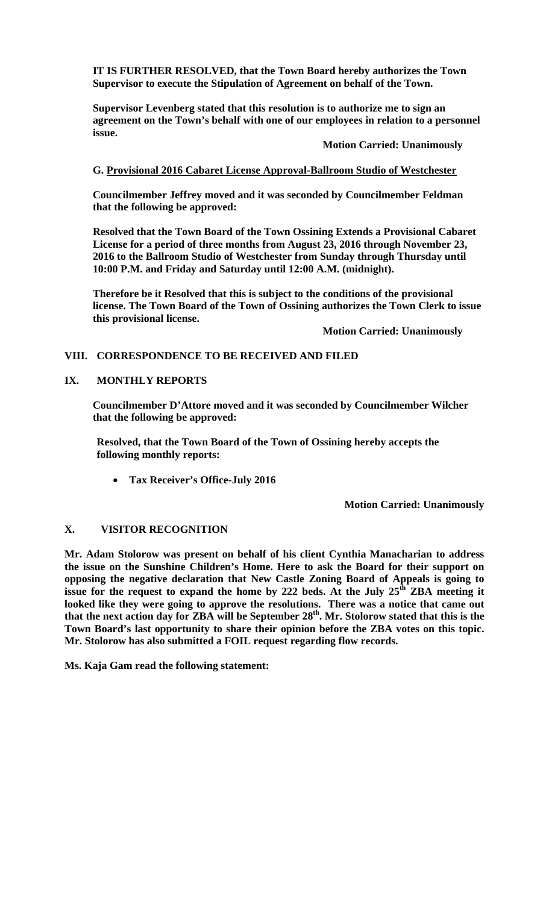**IT IS FURTHER RESOLVED, that the Town Board hereby authorizes the Town Supervisor to execute the Stipulation of Agreement on behalf of the Town.** 

**Supervisor Levenberg stated that this resolution is to authorize me to sign an agreement on the Town's behalf with one of our employees in relation to a personnel issue.** 

**Motion Carried: Unanimously** 

### **G. Provisional 2016 Cabaret License Approval-Ballroom Studio of Westchester**

**Councilmember Jeffrey moved and it was seconded by Councilmember Feldman that the following be approved:** 

**Resolved that the Town Board of the Town Ossining Extends a Provisional Cabaret License for a period of three months from August 23, 2016 through November 23, 2016 to the Ballroom Studio of Westchester from Sunday through Thursday until 10:00 P.M. and Friday and Saturday until 12:00 A.M. (midnight).** 

**Therefore be it Resolved that this is subject to the conditions of the provisional license. The Town Board of the Town of Ossining authorizes the Town Clerk to issue this provisional license.** 

 **Motion Carried: Unanimously**

### **VIII. CORRESPONDENCE TO BE RECEIVED AND FILED**

### **IX. MONTHLY REPORTS**

**Councilmember D'Attore moved and it was seconded by Councilmember Wilcher that the following be approved:** 

**Resolved, that the Town Board of the Town of Ossining hereby accepts the following monthly reports:** 

**Tax Receiver's Office-July 2016** 

 **Motion Carried: Unanimously** 

# **X. VISITOR RECOGNITION**

**Mr. Adam Stolorow was present on behalf of his client Cynthia Manacharian to address the issue on the Sunshine Children's Home. Here to ask the Board for their support on opposing the negative declaration that New Castle Zoning Board of Appeals is going to**  issue for the request to expand the home by 222 beds. At the July  $25^{\hat{d}t}$  ZBA meeting it **looked like they were going to approve the resolutions. There was a notice that came out**  that the next action day for ZBA will be September 28<sup>th</sup>. Mr. Stolorow stated that this is the **Town Board's last opportunity to share their opinion before the ZBA votes on this topic. Mr. Stolorow has also submitted a FOIL request regarding flow records.** 

**Ms. Kaja Gam read the following statement:**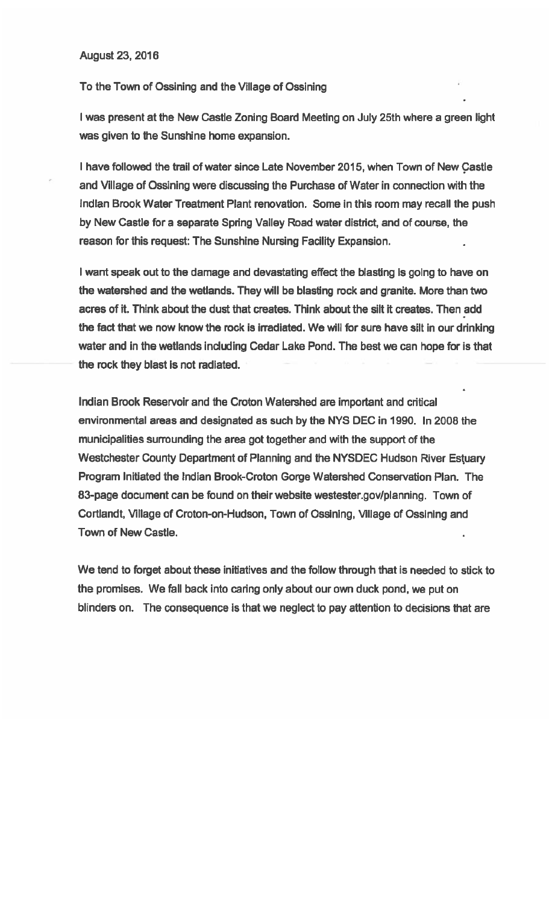**August 23, 2016** 

To the Town of Ossining and the Village of Ossining

I was present at the New Castle Zoning Board Meeting on July 25th where a green light was given to the Sunshine home expansion.

I have followed the trail of water since Late November 2015, when Town of New Castle and Village of Ossining were discussing the Purchase of Water in connection with the Indian Brook Water Treatment Plant renovation. Some in this room may recall the push by New Castle for a separate Spring Valley Road water district, and of course, the reason for this request: The Sunshine Nursing Facility Expansion.

I want speak out to the damage and devastating effect the blasting is going to have on the watershed and the wetlands. They will be blasting rock and granite. More than two acres of it. Think about the dust that creates. Think about the silt it creates. Then add the fact that we now know the rock is irradiated. We will for sure have silt in our drinking water and in the wetlands including Cedar Lake Pond. The best we can hope for is that the rock they blast is not radiated.

Indian Brook Reservoir and the Croton Watershed are important and critical environmental areas and designated as such by the NYS DEC in 1990. In 2008 the municipalities surrounding the area got together and with the support of the Westchester County Department of Planning and the NYSDEC Hudson River Estuary Program Initiated the Indian Brook-Croton Gorge Watershed Conservation Plan. The 83-page document can be found on their website westester.gov/planning. Town of Cortlandt, Village of Croton-on-Hudson, Town of Ossining, Village of Ossining and Town of New Castle.

We tend to forget about these initiatives and the follow through that is needed to stick to the promises. We fall back into caring only about our own duck pond, we put on blinders on. The consequence is that we neglect to pay attention to decisions that are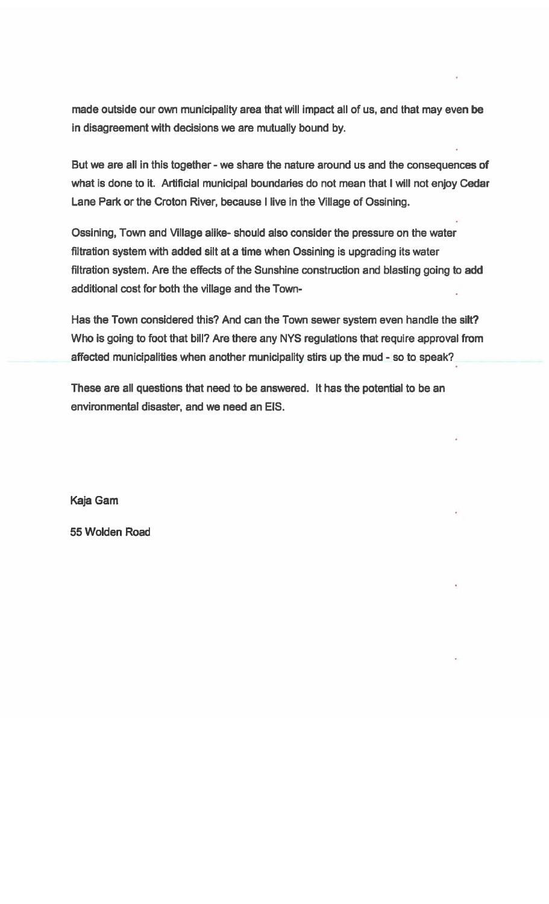made outside our own municipality area that will impact all of us, and that may even be in disagreement with decisions we are mutually bound by.

But we are all in this together - we share the nature around us and the consequences of what is done to it. Artificial municipal boundaries do not mean that I will not enjoy Cedar Lane Park or the Croton River, because I live in the Village of Ossining.

Ossining, Town and Village alike- should also consider the pressure on the water filtration system with added silt at a time when Ossining is upgrading its water filtration system. Are the effects of the Sunshine construction and blasting going to add additional cost for both the village and the Town-

Has the Town considered this? And can the Town sewer system even handle the silt? Who is going to foot that bill? Are there any NYS regulations that require approval from affected municipalities when another municipality stirs up the mud - so to speak?

These are all questions that need to be answered. It has the potential to be an environmental disaster, and we need an EIS.

Kaja Gam

55 Wolden Road